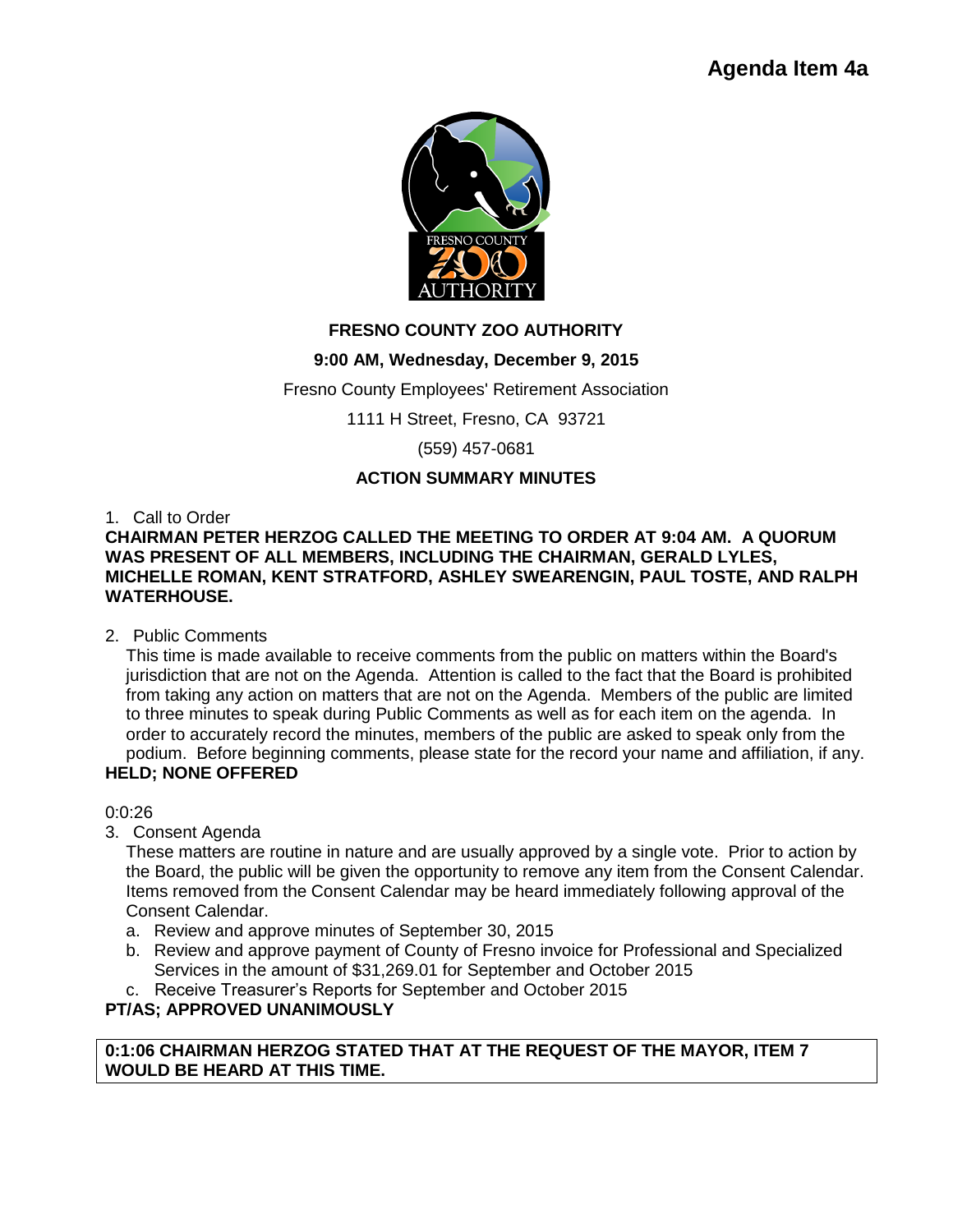

# **FRESNO COUNTY ZOO AUTHORITY**

# **9:00 AM, Wednesday, December 9, 2015**

Fresno County Employees' Retirement Association

1111 H Street, Fresno, CA 93721

(559) 457-0681

# **ACTION SUMMARY MINUTES**

1. Call to Order

### **CHAIRMAN PETER HERZOG CALLED THE MEETING TO ORDER AT 9:04 AM. A QUORUM WAS PRESENT OF ALL MEMBERS, INCLUDING THE CHAIRMAN, GERALD LYLES, MICHELLE ROMAN, KENT STRATFORD, ASHLEY SWEARENGIN, PAUL TOSTE, AND RALPH WATERHOUSE.**

## 2. Public Comments

This time is made available to receive comments from the public on matters within the Board's jurisdiction that are not on the Agenda. Attention is called to the fact that the Board is prohibited from taking any action on matters that are not on the Agenda. Members of the public are limited to three minutes to speak during Public Comments as well as for each item on the agenda. In order to accurately record the minutes, members of the public are asked to speak only from the podium. Before beginning comments, please state for the record your name and affiliation, if any.

# **HELD; NONE OFFERED**

0:0:26

3. Consent Agenda

These matters are routine in nature and are usually approved by a single vote. Prior to action by the Board, the public will be given the opportunity to remove any item from the Consent Calendar. Items removed from the Consent Calendar may be heard immediately following approval of the Consent Calendar.

- a. Review and approve minutes of September 30, 2015
- b. Review and approve payment of County of Fresno invoice for Professional and Specialized Services in the amount of \$31,269.01 for September and October 2015
- c. Receive Treasurer's Reports for September and October 2015

# **PT/AS; APPROVED UNANIMOUSLY**

**0:1:06 CHAIRMAN HERZOG STATED THAT AT THE REQUEST OF THE MAYOR, ITEM 7 WOULD BE HEARD AT THIS TIME.**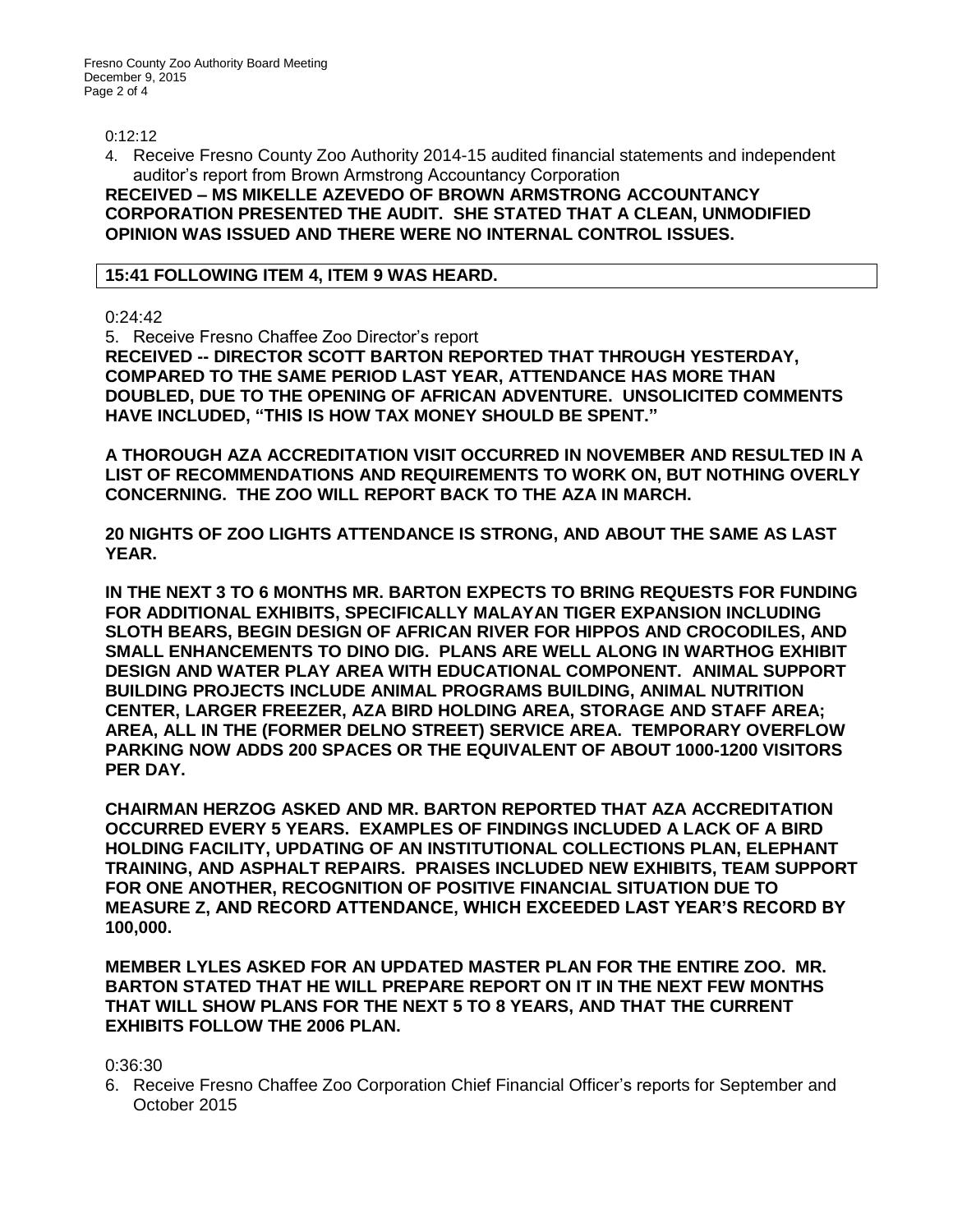0:12:12

4. Receive Fresno County Zoo Authority 2014-15 audited financial statements and independent auditor's report from Brown Armstrong Accountancy Corporation

**RECEIVED – MS MIKELLE AZEVEDO OF BROWN ARMSTRONG ACCOUNTANCY CORPORATION PRESENTED THE AUDIT. SHE STATED THAT A CLEAN, UNMODIFIED OPINION WAS ISSUED AND THERE WERE NO INTERNAL CONTROL ISSUES.**

### **15:41 FOLLOWING ITEM 4, ITEM 9 WAS HEARD.**

0:24:42

5. Receive Fresno Chaffee Zoo Director's report **RECEIVED -- DIRECTOR SCOTT BARTON REPORTED THAT THROUGH YESTERDAY, COMPARED TO THE SAME PERIOD LAST YEAR, ATTENDANCE HAS MORE THAN DOUBLED, DUE TO THE OPENING OF AFRICAN ADVENTURE. UNSOLICITED COMMENTS HAVE INCLUDED, "THIS IS HOW TAX MONEY SHOULD BE SPENT."** 

**A THOROUGH AZA ACCREDITATION VISIT OCCURRED IN NOVEMBER AND RESULTED IN A LIST OF RECOMMENDATIONS AND REQUIREMENTS TO WORK ON, BUT NOTHING OVERLY CONCERNING. THE ZOO WILL REPORT BACK TO THE AZA IN MARCH.** 

**20 NIGHTS OF ZOO LIGHTS ATTENDANCE IS STRONG, AND ABOUT THE SAME AS LAST YEAR.** 

**IN THE NEXT 3 TO 6 MONTHS MR. BARTON EXPECTS TO BRING REQUESTS FOR FUNDING FOR ADDITIONAL EXHIBITS, SPECIFICALLY MALAYAN TIGER EXPANSION INCLUDING SLOTH BEARS, BEGIN DESIGN OF AFRICAN RIVER FOR HIPPOS AND CROCODILES, AND SMALL ENHANCEMENTS TO DINO DIG. PLANS ARE WELL ALONG IN WARTHOG EXHIBIT DESIGN AND WATER PLAY AREA WITH EDUCATIONAL COMPONENT. ANIMAL SUPPORT BUILDING PROJECTS INCLUDE ANIMAL PROGRAMS BUILDING, ANIMAL NUTRITION CENTER, LARGER FREEZER, AZA BIRD HOLDING AREA, STORAGE AND STAFF AREA; AREA, ALL IN THE (FORMER DELNO STREET) SERVICE AREA. TEMPORARY OVERFLOW PARKING NOW ADDS 200 SPACES OR THE EQUIVALENT OF ABOUT 1000-1200 VISITORS PER DAY.**

**CHAIRMAN HERZOG ASKED AND MR. BARTON REPORTED THAT AZA ACCREDITATION OCCURRED EVERY 5 YEARS. EXAMPLES OF FINDINGS INCLUDED A LACK OF A BIRD HOLDING FACILITY, UPDATING OF AN INSTITUTIONAL COLLECTIONS PLAN, ELEPHANT TRAINING, AND ASPHALT REPAIRS. PRAISES INCLUDED NEW EXHIBITS, TEAM SUPPORT FOR ONE ANOTHER, RECOGNITION OF POSITIVE FINANCIAL SITUATION DUE TO MEASURE Z, AND RECORD ATTENDANCE, WHICH EXCEEDED LAST YEAR'S RECORD BY 100,000.**

**MEMBER LYLES ASKED FOR AN UPDATED MASTER PLAN FOR THE ENTIRE ZOO. MR. BARTON STATED THAT HE WILL PREPARE REPORT ON IT IN THE NEXT FEW MONTHS THAT WILL SHOW PLANS FOR THE NEXT 5 TO 8 YEARS, AND THAT THE CURRENT EXHIBITS FOLLOW THE 2006 PLAN.**

0:36:30

6. Receive Fresno Chaffee Zoo Corporation Chief Financial Officer's reports for September and October 2015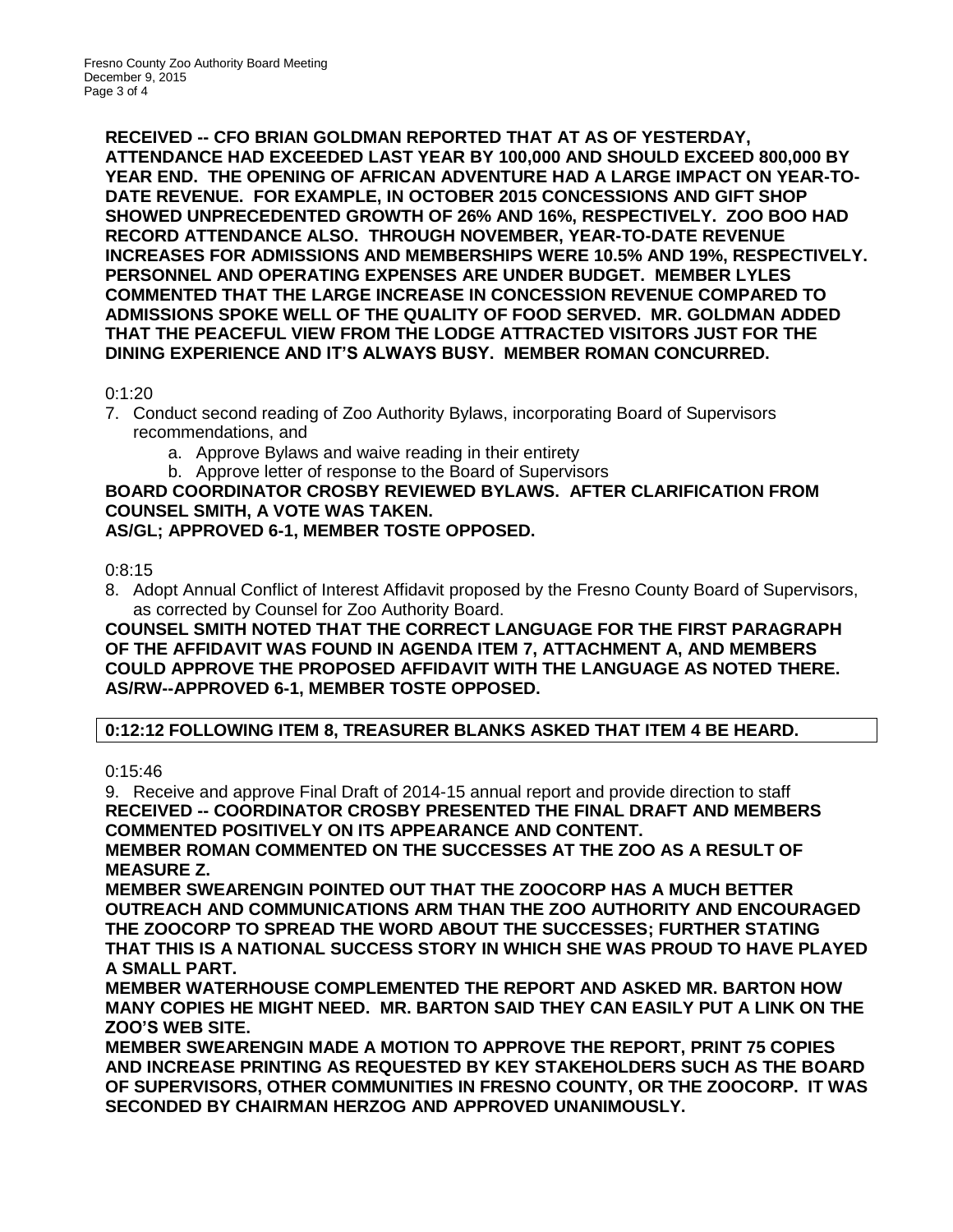**RECEIVED -- CFO BRIAN GOLDMAN REPORTED THAT AT AS OF YESTERDAY, ATTENDANCE HAD EXCEEDED LAST YEAR BY 100,000 AND SHOULD EXCEED 800,000 BY YEAR END. THE OPENING OF AFRICAN ADVENTURE HAD A LARGE IMPACT ON YEAR-TO-DATE REVENUE. FOR EXAMPLE, IN OCTOBER 2015 CONCESSIONS AND GIFT SHOP SHOWED UNPRECEDENTED GROWTH OF 26% AND 16%, RESPECTIVELY. ZOO BOO HAD RECORD ATTENDANCE ALSO. THROUGH NOVEMBER, YEAR-TO-DATE REVENUE INCREASES FOR ADMISSIONS AND MEMBERSHIPS WERE 10.5% AND 19%, RESPECTIVELY. PERSONNEL AND OPERATING EXPENSES ARE UNDER BUDGET. MEMBER LYLES COMMENTED THAT THE LARGE INCREASE IN CONCESSION REVENUE COMPARED TO ADMISSIONS SPOKE WELL OF THE QUALITY OF FOOD SERVED. MR. GOLDMAN ADDED THAT THE PEACEFUL VIEW FROM THE LODGE ATTRACTED VISITORS JUST FOR THE DINING EXPERIENCE AND IT'S ALWAYS BUSY. MEMBER ROMAN CONCURRED.**

# 0:1:20

- 7. Conduct second reading of Zoo Authority Bylaws, incorporating Board of Supervisors recommendations, and
	- a. Approve Bylaws and waive reading in their entirety
	- b. Approve letter of response to the Board of Supervisors

#### **BOARD COORDINATOR CROSBY REVIEWED BYLAWS. AFTER CLARIFICATION FROM COUNSEL SMITH, A VOTE WAS TAKEN. AS/GL; APPROVED 6-1, MEMBER TOSTE OPPOSED.**

# 0:8:15

8. Adopt Annual Conflict of Interest Affidavit proposed by the Fresno County Board of Supervisors, as corrected by Counsel for Zoo Authority Board.

### **COUNSEL SMITH NOTED THAT THE CORRECT LANGUAGE FOR THE FIRST PARAGRAPH OF THE AFFIDAVIT WAS FOUND IN AGENDA ITEM 7, ATTACHMENT A, AND MEMBERS COULD APPROVE THE PROPOSED AFFIDAVIT WITH THE LANGUAGE AS NOTED THERE. AS/RW--APPROVED 6-1, MEMBER TOSTE OPPOSED.**

# **0:12:12 FOLLOWING ITEM 8, TREASURER BLANKS ASKED THAT ITEM 4 BE HEARD.**

## 0:15:46

9. Receive and approve Final Draft of 2014-15 annual report and provide direction to staff **RECEIVED -- COORDINATOR CROSBY PRESENTED THE FINAL DRAFT AND MEMBERS COMMENTED POSITIVELY ON ITS APPEARANCE AND CONTENT.** 

**MEMBER ROMAN COMMENTED ON THE SUCCESSES AT THE ZOO AS A RESULT OF MEASURE Z.** 

**MEMBER SWEARENGIN POINTED OUT THAT THE ZOOCORP HAS A MUCH BETTER OUTREACH AND COMMUNICATIONS ARM THAN THE ZOO AUTHORITY AND ENCOURAGED THE ZOOCORP TO SPREAD THE WORD ABOUT THE SUCCESSES; FURTHER STATING THAT THIS IS A NATIONAL SUCCESS STORY IN WHICH SHE WAS PROUD TO HAVE PLAYED A SMALL PART.**

**MEMBER WATERHOUSE COMPLEMENTED THE REPORT AND ASKED MR. BARTON HOW MANY COPIES HE MIGHT NEED. MR. BARTON SAID THEY CAN EASILY PUT A LINK ON THE ZOO'S WEB SITE.**

**MEMBER SWEARENGIN MADE A MOTION TO APPROVE THE REPORT, PRINT 75 COPIES AND INCREASE PRINTING AS REQUESTED BY KEY STAKEHOLDERS SUCH AS THE BOARD OF SUPERVISORS, OTHER COMMUNITIES IN FRESNO COUNTY, OR THE ZOOCORP. IT WAS SECONDED BY CHAIRMAN HERZOG AND APPROVED UNANIMOUSLY.**